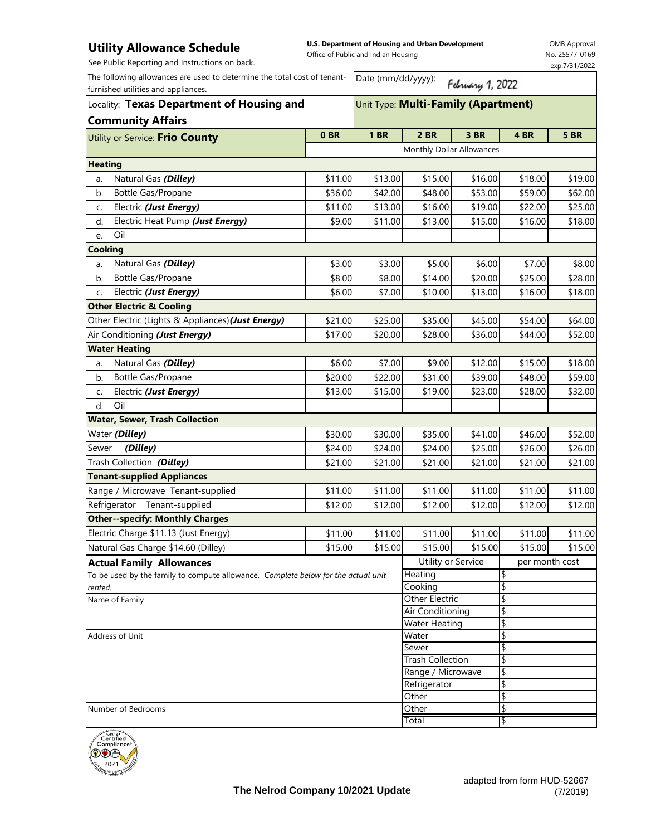## **Utility Allowance Schedule**

**U.S. Department of Housing and Urban Development**  Office of Public and Indian Housing

Date (mm/dd/yyyy):

February 1, 2022

OMB Approval No. 25577-0169 exp.7/31/2022

See Public Reporting and Instructions on back.

|                                     | Locality: Texas Department of Housing and                                |  |  |  |  |  |
|-------------------------------------|--------------------------------------------------------------------------|--|--|--|--|--|
| furnished utilities and appliances. |                                                                          |  |  |  |  |  |
|                                     | The following allowances are used to determine the total cost of tenant- |  |  |  |  |  |

| <b>5 BR</b><br>0BR<br><b>1 BR</b><br><b>2 BR</b><br>3 BR<br>4BR<br>Monthly Dollar Allowances<br>Natural Gas (Dilley)<br>\$16.00<br>\$11.00<br>\$13.00<br>\$15.00<br>\$18.00<br>\$19.00<br>a.<br>Bottle Gas/Propane<br>\$36.00<br>\$42.00<br>\$48.00<br>\$53.00<br>\$59.00<br>\$62.00<br>b.<br>\$16.00<br>Electric (Just Energy)<br>\$11.00<br>\$13.00<br>\$19.00<br>\$22.00<br>\$25.00<br>c.<br>Electric Heat Pump (Just Energy)<br>\$11.00<br>\$13.00<br>\$15.00<br>\$16.00<br>\$18.00<br>d.<br>\$9.00<br>Oil<br>e.<br>Natural Gas (Dilley)<br>\$3.00<br>\$3.00<br>\$5.00<br>\$6.00<br>\$7.00<br>\$8.00<br>a.<br>Bottle Gas/Propane<br>\$8.00<br>\$14.00<br>\$20.00<br>\$8.00<br>\$25.00<br>\$28.00<br>b.<br>Electric (Just Energy)<br>\$6.00<br>\$7.00<br>\$10.00<br>\$13.00<br>\$16.00<br>\$18.00<br>c.<br>\$25.00<br>\$45.00<br>\$21.00<br>\$35.00<br>\$54.00<br>\$64.00<br>Air Conditioning (Just Energy)<br>\$17.00<br>\$20.00<br>\$28.00<br>\$36.00<br>\$44.00<br>\$52.00<br>Natural Gas (Dilley)<br>\$9.00<br>\$6.00<br>\$7.00<br>\$12.00<br>\$15.00<br>\$18.00<br>a.<br>Bottle Gas/Propane<br>\$20.00<br>\$22.00<br>\$39.00<br>\$31.00<br>\$48.00<br>\$59.00<br>b.<br>Electric (Just Energy)<br>\$13.00<br>\$15.00<br>\$19.00<br>\$23.00<br>\$28.00<br>\$32.00<br>c.<br>Oil<br>d.<br>\$30.00<br>\$35.00<br>\$41.00<br>\$30.00<br>\$46.00<br>\$52.00<br>(Dilley)<br>\$24.00<br>\$24.00<br>\$24.00<br>\$25.00<br>\$26.00<br>\$26.00<br>Trash Collection (Dilley)<br>\$21.00<br>\$21.00<br>\$21.00<br>\$21.00<br>\$21.00<br>\$21.00<br>\$11.00<br>\$11.00<br>\$11.00<br>\$11.00<br>\$11.00<br>\$11.00<br>\$12.00<br>\$12.00<br>\$12.00<br>\$12.00<br>\$12.00<br>\$12.00<br>\$11.00<br>\$11.00<br>\$11.00<br>\$11.00<br>\$11.00<br>\$11.00<br>\$15.00<br>\$15.00<br>\$15.00<br>\$15.00<br>\$15.00<br>\$15.00<br>Utility or Service<br>per month cost<br>Heating<br>To be used by the family to compute allowance. Complete below for the actual unit<br>\$<br>\$<br>Cooking<br>Other Electric<br>\$<br>Name of Family<br>\$<br><b>Air Conditioning</b><br>\$<br>Water Heating<br>\$<br>Water<br>\$<br>Sewer<br><b>Trash Collection</b><br>\$<br>Range / Microwave<br>\$<br>Refrigerator<br>\$<br>\$<br>Other | Locality: Texas Department of Housing and          |  | Unit Type: Multi-Family (Apartment) |  |  |  |  |  |
|-------------------------------------------------------------------------------------------------------------------------------------------------------------------------------------------------------------------------------------------------------------------------------------------------------------------------------------------------------------------------------------------------------------------------------------------------------------------------------------------------------------------------------------------------------------------------------------------------------------------------------------------------------------------------------------------------------------------------------------------------------------------------------------------------------------------------------------------------------------------------------------------------------------------------------------------------------------------------------------------------------------------------------------------------------------------------------------------------------------------------------------------------------------------------------------------------------------------------------------------------------------------------------------------------------------------------------------------------------------------------------------------------------------------------------------------------------------------------------------------------------------------------------------------------------------------------------------------------------------------------------------------------------------------------------------------------------------------------------------------------------------------------------------------------------------------------------------------------------------------------------------------------------------------------------------------------------------------------------------------------------------------------------------------------------------------------------------------------------------------------------------------------------------------------------------------------------------------|----------------------------------------------------|--|-------------------------------------|--|--|--|--|--|
|                                                                                                                                                                                                                                                                                                                                                                                                                                                                                                                                                                                                                                                                                                                                                                                                                                                                                                                                                                                                                                                                                                                                                                                                                                                                                                                                                                                                                                                                                                                                                                                                                                                                                                                                                                                                                                                                                                                                                                                                                                                                                                                                                                                                                   | <b>Community Affairs</b>                           |  |                                     |  |  |  |  |  |
|                                                                                                                                                                                                                                                                                                                                                                                                                                                                                                                                                                                                                                                                                                                                                                                                                                                                                                                                                                                                                                                                                                                                                                                                                                                                                                                                                                                                                                                                                                                                                                                                                                                                                                                                                                                                                                                                                                                                                                                                                                                                                                                                                                                                                   | Utility or Service: Frio County                    |  |                                     |  |  |  |  |  |
|                                                                                                                                                                                                                                                                                                                                                                                                                                                                                                                                                                                                                                                                                                                                                                                                                                                                                                                                                                                                                                                                                                                                                                                                                                                                                                                                                                                                                                                                                                                                                                                                                                                                                                                                                                                                                                                                                                                                                                                                                                                                                                                                                                                                                   |                                                    |  |                                     |  |  |  |  |  |
|                                                                                                                                                                                                                                                                                                                                                                                                                                                                                                                                                                                                                                                                                                                                                                                                                                                                                                                                                                                                                                                                                                                                                                                                                                                                                                                                                                                                                                                                                                                                                                                                                                                                                                                                                                                                                                                                                                                                                                                                                                                                                                                                                                                                                   | <b>Heating</b>                                     |  |                                     |  |  |  |  |  |
|                                                                                                                                                                                                                                                                                                                                                                                                                                                                                                                                                                                                                                                                                                                                                                                                                                                                                                                                                                                                                                                                                                                                                                                                                                                                                                                                                                                                                                                                                                                                                                                                                                                                                                                                                                                                                                                                                                                                                                                                                                                                                                                                                                                                                   |                                                    |  |                                     |  |  |  |  |  |
|                                                                                                                                                                                                                                                                                                                                                                                                                                                                                                                                                                                                                                                                                                                                                                                                                                                                                                                                                                                                                                                                                                                                                                                                                                                                                                                                                                                                                                                                                                                                                                                                                                                                                                                                                                                                                                                                                                                                                                                                                                                                                                                                                                                                                   |                                                    |  |                                     |  |  |  |  |  |
|                                                                                                                                                                                                                                                                                                                                                                                                                                                                                                                                                                                                                                                                                                                                                                                                                                                                                                                                                                                                                                                                                                                                                                                                                                                                                                                                                                                                                                                                                                                                                                                                                                                                                                                                                                                                                                                                                                                                                                                                                                                                                                                                                                                                                   |                                                    |  |                                     |  |  |  |  |  |
|                                                                                                                                                                                                                                                                                                                                                                                                                                                                                                                                                                                                                                                                                                                                                                                                                                                                                                                                                                                                                                                                                                                                                                                                                                                                                                                                                                                                                                                                                                                                                                                                                                                                                                                                                                                                                                                                                                                                                                                                                                                                                                                                                                                                                   |                                                    |  |                                     |  |  |  |  |  |
|                                                                                                                                                                                                                                                                                                                                                                                                                                                                                                                                                                                                                                                                                                                                                                                                                                                                                                                                                                                                                                                                                                                                                                                                                                                                                                                                                                                                                                                                                                                                                                                                                                                                                                                                                                                                                                                                                                                                                                                                                                                                                                                                                                                                                   |                                                    |  |                                     |  |  |  |  |  |
|                                                                                                                                                                                                                                                                                                                                                                                                                                                                                                                                                                                                                                                                                                                                                                                                                                                                                                                                                                                                                                                                                                                                                                                                                                                                                                                                                                                                                                                                                                                                                                                                                                                                                                                                                                                                                                                                                                                                                                                                                                                                                                                                                                                                                   | <b>Cooking</b>                                     |  |                                     |  |  |  |  |  |
|                                                                                                                                                                                                                                                                                                                                                                                                                                                                                                                                                                                                                                                                                                                                                                                                                                                                                                                                                                                                                                                                                                                                                                                                                                                                                                                                                                                                                                                                                                                                                                                                                                                                                                                                                                                                                                                                                                                                                                                                                                                                                                                                                                                                                   |                                                    |  |                                     |  |  |  |  |  |
|                                                                                                                                                                                                                                                                                                                                                                                                                                                                                                                                                                                                                                                                                                                                                                                                                                                                                                                                                                                                                                                                                                                                                                                                                                                                                                                                                                                                                                                                                                                                                                                                                                                                                                                                                                                                                                                                                                                                                                                                                                                                                                                                                                                                                   |                                                    |  |                                     |  |  |  |  |  |
|                                                                                                                                                                                                                                                                                                                                                                                                                                                                                                                                                                                                                                                                                                                                                                                                                                                                                                                                                                                                                                                                                                                                                                                                                                                                                                                                                                                                                                                                                                                                                                                                                                                                                                                                                                                                                                                                                                                                                                                                                                                                                                                                                                                                                   |                                                    |  |                                     |  |  |  |  |  |
|                                                                                                                                                                                                                                                                                                                                                                                                                                                                                                                                                                                                                                                                                                                                                                                                                                                                                                                                                                                                                                                                                                                                                                                                                                                                                                                                                                                                                                                                                                                                                                                                                                                                                                                                                                                                                                                                                                                                                                                                                                                                                                                                                                                                                   | <b>Other Electric &amp; Cooling</b>                |  |                                     |  |  |  |  |  |
|                                                                                                                                                                                                                                                                                                                                                                                                                                                                                                                                                                                                                                                                                                                                                                                                                                                                                                                                                                                                                                                                                                                                                                                                                                                                                                                                                                                                                                                                                                                                                                                                                                                                                                                                                                                                                                                                                                                                                                                                                                                                                                                                                                                                                   | Other Electric (Lights & Appliances) (Just Energy) |  |                                     |  |  |  |  |  |
|                                                                                                                                                                                                                                                                                                                                                                                                                                                                                                                                                                                                                                                                                                                                                                                                                                                                                                                                                                                                                                                                                                                                                                                                                                                                                                                                                                                                                                                                                                                                                                                                                                                                                                                                                                                                                                                                                                                                                                                                                                                                                                                                                                                                                   |                                                    |  |                                     |  |  |  |  |  |
|                                                                                                                                                                                                                                                                                                                                                                                                                                                                                                                                                                                                                                                                                                                                                                                                                                                                                                                                                                                                                                                                                                                                                                                                                                                                                                                                                                                                                                                                                                                                                                                                                                                                                                                                                                                                                                                                                                                                                                                                                                                                                                                                                                                                                   | <b>Water Heating</b>                               |  |                                     |  |  |  |  |  |
|                                                                                                                                                                                                                                                                                                                                                                                                                                                                                                                                                                                                                                                                                                                                                                                                                                                                                                                                                                                                                                                                                                                                                                                                                                                                                                                                                                                                                                                                                                                                                                                                                                                                                                                                                                                                                                                                                                                                                                                                                                                                                                                                                                                                                   |                                                    |  |                                     |  |  |  |  |  |
|                                                                                                                                                                                                                                                                                                                                                                                                                                                                                                                                                                                                                                                                                                                                                                                                                                                                                                                                                                                                                                                                                                                                                                                                                                                                                                                                                                                                                                                                                                                                                                                                                                                                                                                                                                                                                                                                                                                                                                                                                                                                                                                                                                                                                   |                                                    |  |                                     |  |  |  |  |  |
|                                                                                                                                                                                                                                                                                                                                                                                                                                                                                                                                                                                                                                                                                                                                                                                                                                                                                                                                                                                                                                                                                                                                                                                                                                                                                                                                                                                                                                                                                                                                                                                                                                                                                                                                                                                                                                                                                                                                                                                                                                                                                                                                                                                                                   |                                                    |  |                                     |  |  |  |  |  |
|                                                                                                                                                                                                                                                                                                                                                                                                                                                                                                                                                                                                                                                                                                                                                                                                                                                                                                                                                                                                                                                                                                                                                                                                                                                                                                                                                                                                                                                                                                                                                                                                                                                                                                                                                                                                                                                                                                                                                                                                                                                                                                                                                                                                                   |                                                    |  |                                     |  |  |  |  |  |
|                                                                                                                                                                                                                                                                                                                                                                                                                                                                                                                                                                                                                                                                                                                                                                                                                                                                                                                                                                                                                                                                                                                                                                                                                                                                                                                                                                                                                                                                                                                                                                                                                                                                                                                                                                                                                                                                                                                                                                                                                                                                                                                                                                                                                   | <b>Water, Sewer, Trash Collection</b>              |  |                                     |  |  |  |  |  |
|                                                                                                                                                                                                                                                                                                                                                                                                                                                                                                                                                                                                                                                                                                                                                                                                                                                                                                                                                                                                                                                                                                                                                                                                                                                                                                                                                                                                                                                                                                                                                                                                                                                                                                                                                                                                                                                                                                                                                                                                                                                                                                                                                                                                                   | Water (Dilley)                                     |  |                                     |  |  |  |  |  |
|                                                                                                                                                                                                                                                                                                                                                                                                                                                                                                                                                                                                                                                                                                                                                                                                                                                                                                                                                                                                                                                                                                                                                                                                                                                                                                                                                                                                                                                                                                                                                                                                                                                                                                                                                                                                                                                                                                                                                                                                                                                                                                                                                                                                                   | Sewer                                              |  |                                     |  |  |  |  |  |
|                                                                                                                                                                                                                                                                                                                                                                                                                                                                                                                                                                                                                                                                                                                                                                                                                                                                                                                                                                                                                                                                                                                                                                                                                                                                                                                                                                                                                                                                                                                                                                                                                                                                                                                                                                                                                                                                                                                                                                                                                                                                                                                                                                                                                   |                                                    |  |                                     |  |  |  |  |  |
|                                                                                                                                                                                                                                                                                                                                                                                                                                                                                                                                                                                                                                                                                                                                                                                                                                                                                                                                                                                                                                                                                                                                                                                                                                                                                                                                                                                                                                                                                                                                                                                                                                                                                                                                                                                                                                                                                                                                                                                                                                                                                                                                                                                                                   | <b>Tenant-supplied Appliances</b>                  |  |                                     |  |  |  |  |  |
|                                                                                                                                                                                                                                                                                                                                                                                                                                                                                                                                                                                                                                                                                                                                                                                                                                                                                                                                                                                                                                                                                                                                                                                                                                                                                                                                                                                                                                                                                                                                                                                                                                                                                                                                                                                                                                                                                                                                                                                                                                                                                                                                                                                                                   | Range / Microwave Tenant-supplied                  |  |                                     |  |  |  |  |  |
|                                                                                                                                                                                                                                                                                                                                                                                                                                                                                                                                                                                                                                                                                                                                                                                                                                                                                                                                                                                                                                                                                                                                                                                                                                                                                                                                                                                                                                                                                                                                                                                                                                                                                                                                                                                                                                                                                                                                                                                                                                                                                                                                                                                                                   | Refrigerator Tenant-supplied                       |  |                                     |  |  |  |  |  |
|                                                                                                                                                                                                                                                                                                                                                                                                                                                                                                                                                                                                                                                                                                                                                                                                                                                                                                                                                                                                                                                                                                                                                                                                                                                                                                                                                                                                                                                                                                                                                                                                                                                                                                                                                                                                                                                                                                                                                                                                                                                                                                                                                                                                                   | <b>Other--specify: Monthly Charges</b>             |  |                                     |  |  |  |  |  |
|                                                                                                                                                                                                                                                                                                                                                                                                                                                                                                                                                                                                                                                                                                                                                                                                                                                                                                                                                                                                                                                                                                                                                                                                                                                                                                                                                                                                                                                                                                                                                                                                                                                                                                                                                                                                                                                                                                                                                                                                                                                                                                                                                                                                                   | Electric Charge \$11.13 (Just Energy)              |  |                                     |  |  |  |  |  |
|                                                                                                                                                                                                                                                                                                                                                                                                                                                                                                                                                                                                                                                                                                                                                                                                                                                                                                                                                                                                                                                                                                                                                                                                                                                                                                                                                                                                                                                                                                                                                                                                                                                                                                                                                                                                                                                                                                                                                                                                                                                                                                                                                                                                                   | Natural Gas Charge \$14.60 (Dilley)                |  |                                     |  |  |  |  |  |
|                                                                                                                                                                                                                                                                                                                                                                                                                                                                                                                                                                                                                                                                                                                                                                                                                                                                                                                                                                                                                                                                                                                                                                                                                                                                                                                                                                                                                                                                                                                                                                                                                                                                                                                                                                                                                                                                                                                                                                                                                                                                                                                                                                                                                   | <b>Actual Family Allowances</b>                    |  |                                     |  |  |  |  |  |
|                                                                                                                                                                                                                                                                                                                                                                                                                                                                                                                                                                                                                                                                                                                                                                                                                                                                                                                                                                                                                                                                                                                                                                                                                                                                                                                                                                                                                                                                                                                                                                                                                                                                                                                                                                                                                                                                                                                                                                                                                                                                                                                                                                                                                   |                                                    |  |                                     |  |  |  |  |  |
|                                                                                                                                                                                                                                                                                                                                                                                                                                                                                                                                                                                                                                                                                                                                                                                                                                                                                                                                                                                                                                                                                                                                                                                                                                                                                                                                                                                                                                                                                                                                                                                                                                                                                                                                                                                                                                                                                                                                                                                                                                                                                                                                                                                                                   | rented.                                            |  |                                     |  |  |  |  |  |
|                                                                                                                                                                                                                                                                                                                                                                                                                                                                                                                                                                                                                                                                                                                                                                                                                                                                                                                                                                                                                                                                                                                                                                                                                                                                                                                                                                                                                                                                                                                                                                                                                                                                                                                                                                                                                                                                                                                                                                                                                                                                                                                                                                                                                   |                                                    |  |                                     |  |  |  |  |  |
|                                                                                                                                                                                                                                                                                                                                                                                                                                                                                                                                                                                                                                                                                                                                                                                                                                                                                                                                                                                                                                                                                                                                                                                                                                                                                                                                                                                                                                                                                                                                                                                                                                                                                                                                                                                                                                                                                                                                                                                                                                                                                                                                                                                                                   |                                                    |  |                                     |  |  |  |  |  |
|                                                                                                                                                                                                                                                                                                                                                                                                                                                                                                                                                                                                                                                                                                                                                                                                                                                                                                                                                                                                                                                                                                                                                                                                                                                                                                                                                                                                                                                                                                                                                                                                                                                                                                                                                                                                                                                                                                                                                                                                                                                                                                                                                                                                                   | Address of Unit                                    |  |                                     |  |  |  |  |  |
|                                                                                                                                                                                                                                                                                                                                                                                                                                                                                                                                                                                                                                                                                                                                                                                                                                                                                                                                                                                                                                                                                                                                                                                                                                                                                                                                                                                                                                                                                                                                                                                                                                                                                                                                                                                                                                                                                                                                                                                                                                                                                                                                                                                                                   |                                                    |  |                                     |  |  |  |  |  |
|                                                                                                                                                                                                                                                                                                                                                                                                                                                                                                                                                                                                                                                                                                                                                                                                                                                                                                                                                                                                                                                                                                                                                                                                                                                                                                                                                                                                                                                                                                                                                                                                                                                                                                                                                                                                                                                                                                                                                                                                                                                                                                                                                                                                                   |                                                    |  |                                     |  |  |  |  |  |
|                                                                                                                                                                                                                                                                                                                                                                                                                                                                                                                                                                                                                                                                                                                                                                                                                                                                                                                                                                                                                                                                                                                                                                                                                                                                                                                                                                                                                                                                                                                                                                                                                                                                                                                                                                                                                                                                                                                                                                                                                                                                                                                                                                                                                   |                                                    |  |                                     |  |  |  |  |  |
|                                                                                                                                                                                                                                                                                                                                                                                                                                                                                                                                                                                                                                                                                                                                                                                                                                                                                                                                                                                                                                                                                                                                                                                                                                                                                                                                                                                                                                                                                                                                                                                                                                                                                                                                                                                                                                                                                                                                                                                                                                                                                                                                                                                                                   |                                                    |  |                                     |  |  |  |  |  |
| \$<br>Other                                                                                                                                                                                                                                                                                                                                                                                                                                                                                                                                                                                                                                                                                                                                                                                                                                                                                                                                                                                                                                                                                                                                                                                                                                                                                                                                                                                                                                                                                                                                                                                                                                                                                                                                                                                                                                                                                                                                                                                                                                                                                                                                                                                                       | Number of Bedrooms                                 |  |                                     |  |  |  |  |  |
| \$<br>Total                                                                                                                                                                                                                                                                                                                                                                                                                                                                                                                                                                                                                                                                                                                                                                                                                                                                                                                                                                                                                                                                                                                                                                                                                                                                                                                                                                                                                                                                                                                                                                                                                                                                                                                                                                                                                                                                                                                                                                                                                                                                                                                                                                                                       |                                                    |  |                                     |  |  |  |  |  |